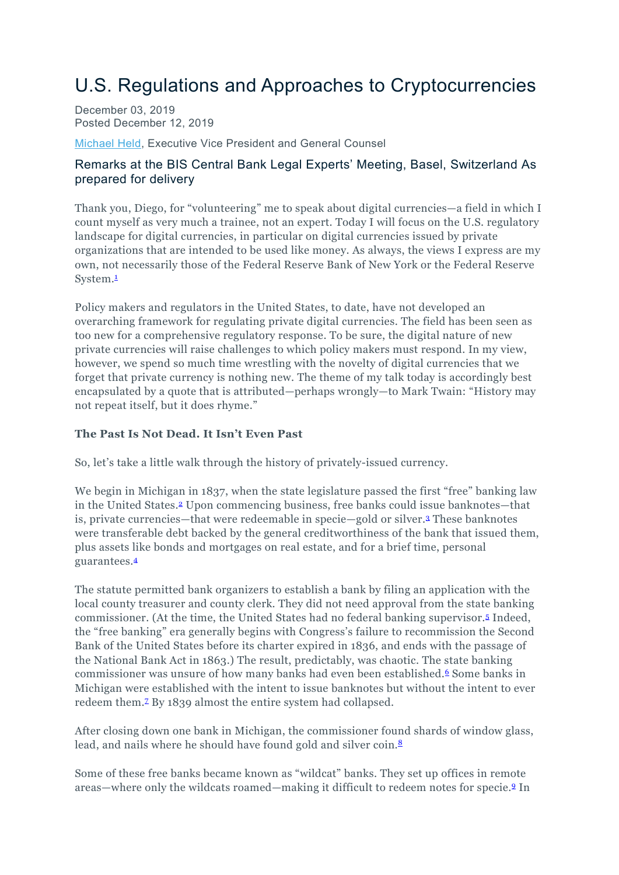# U.S. Regulations and Approaches to Cryptocurrencies

December 03, 2019 Posted December 12, 2019

[Michael](https://www.newyorkfed.org/aboutthefed/orgchart/held) Held, Executive Vice President and General Counsel

## Remarks at the BIS Central Bank Legal Experts' Meeting, Basel, Switzerland As prepared for delivery

Thank you, Diego, for "volunteering" me to speak about digital currencies—a field in which I count myself as very much a trainee, not an expert. Today I will focus on the U.S. regulatory landscape for digital currencies, in particular on digital currencies issued by private organizations that are intended to be used like money. As always, the views I express are my own, not necessarily those of the Federal Reserve Bank of New York or the Federal Reserve System[.1](https://www.newyorkfed.org/newsevents/speeches/2019/hel191212#footnote1)

Policy makers and regulators in the United States, to date, have not developed an overarching framework for regulating private digital currencies. The field has been seen as too new for a comprehensive regulatory response. To be sure, the digital nature of new private currencies will raise challenges to which policy makers must respond. In my view, however, we spend so much time wrestling with the novelty of digital currencies that we forget that private currency is nothing new. The theme of my talk today is accordingly best encapsulated by a quote that is attributed—perhaps wrongly—to Mark Twain: "History may not repeat itself, but it does rhyme."

#### **The Past Is Not Dead. It Isn't Even Past**

So, let's take a little walk through the history of privately-issued currency.

We begin in Michigan in 1837, when the state legislature passed the first "free" banking law in the United States[.2](https://www.newyorkfed.org/newsevents/speeches/2019/hel191212#footnote2) Upon commencing business, free banks could issue banknotes—that is, private currencies—that were redeemable in specie—gold or silver[.3](https://www.newyorkfed.org/newsevents/speeches/2019/hel191212#footnote3) These banknotes were transferable debt backed by the general creditworthiness of the bank that issued them, plus assets like bonds and mortgages on real estate, and for a brief time, personal guarantees[.4](https://www.newyorkfed.org/newsevents/speeches/2019/hel191212#footnote4)

The statute permitted bank organizers to establish a bank by filing an application with the local county treasurer and county clerk. They did not need approval from the state banking commissioner. (At the time, the United States had no federal banking supervisor[.5](https://www.newyorkfed.org/newsevents/speeches/2019/hel191212#footnote5) Indeed, the "free banking" era generally begins with Congress's failure to recommission the Second Bank of the United States before its charter expired in 1836, and ends with the passage of the National Bank Act in 1863.) The result, predictably, was chaotic. The state banking commissioner was unsure of how many banks had even been established.<sup>6</sup> Some banks in Michigan were established with the intent to issue banknotes but without the intent to ever redeem them[.7](https://www.newyorkfed.org/newsevents/speeches/2019/hel191212#footnote7) By 1839 almost the entire system had collapsed.

After closing down one bank in Michigan, the commissioner found shards of window glass, lead, and nails where he should have found gold and silver coin.<sup>8</sup>

Some of these free banks became known as "wildcat" banks. They set up offices in remote areas—where only the wildcats roamed—making it difficult to redeem notes for specie[.9](https://www.newyorkfed.org/newsevents/speeches/2019/hel191212#footnote9) In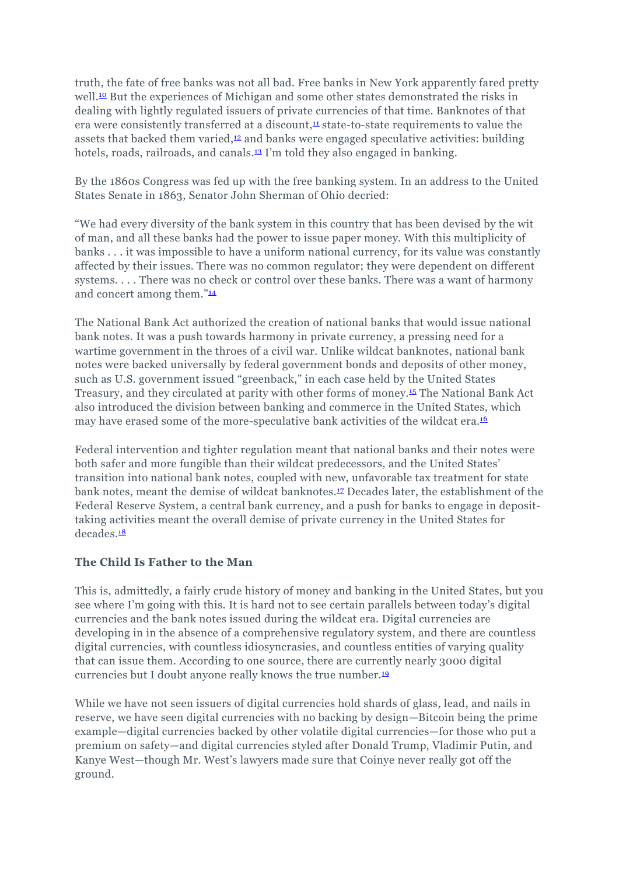truth, the fate of free banks was not all bad. Free banks in New York apparently fared pretty well.<sup>10</sup> But the experiences of Michigan and some other states demonstrated the risks in dealing with lightly regulated issuers of private currencies of that time. Banknotes of that era were consistently transferred at a discount, $\frac{11}{2}$  state-to-state requirements to value the assets that backed them varied, $\frac{12}{2}$  and banks were engaged speculative activities: building hotels, roads, railroads, and canals.<sup>13</sup> I'm told they also engaged in banking.

By the 1860s Congress was fed up with the free banking system. In an address to the United States Senate in 1863, Senator John Sherman of Ohio decried:

"We had every diversity of the bank system in this country that has been devised by the wit of man, and all these banks had the power to issue paper money. With this multiplicity of banks . . . it was impossible to have a uniform national currency, for its value was constantly affected by their issues. There was no common regulator; they were dependent on different systems. . . . There was no check or control over these banks. There was a want of harmony and concert among them.["14](https://www.newyorkfed.org/newsevents/speeches/2019/hel191212#footnote14)

The National Bank Act authorized the creation of national banks that would issue national bank notes. It was a push towards harmony in private currency, a pressing need for a wartime government in the throes of a civil war. Unlike wildcat banknotes, national bank notes were backed universally by federal government bonds and deposits of other money, such as U.S. government issued "greenback," in each case held by the United States Treasury, and they circulated at parity with other forms of money[.15](https://www.newyorkfed.org/newsevents/speeches/2019/hel191212#footnote15) The National Bank Act also introduced the division between banking and commerce in the United States, which may have erased some of the more-speculative bank activities of the wildcat era.<sup>16</sup>

Federal intervention and tighter regulation meant that national banks and their notes were both safer and more fungible than their wildcat predecessors, and the United States' transition into national bank notes, coupled with new, unfavorable tax treatment for state bank notes, meant the demise of wildcat banknotes[.17](https://www.newyorkfed.org/newsevents/speeches/2019/hel191212#footnote17) Decades later, the establishment of the Federal Reserve System, a central bank currency, and a push for banks to engage in deposittaking activities meant the overall demise of private currency in the United States for decades<sup>18</sup>

#### **The Child Is Father to the Man**

This is, admittedly, a fairly crude history of money and banking in the United States, but you see where I'm going with this. It is hard not to see certain parallels between today's digital currencies and the bank notes issued during the wildcat era. Digital currencies are developing in in the absence of a comprehensive regulatory system, and there are countless digital currencies, with countless idiosyncrasies, and countless entities of varying quality that can issue them. According to one source, there are currently nearly 3000 digital currencies but I doubt anyone really knows the true number[.19](https://www.newyorkfed.org/newsevents/speeches/2019/hel191212#footnote19)

While we have not seen issuers of digital currencies hold shards of glass, lead, and nails in reserve, we have seen digital currencies with no backing by design—Bitcoin being the prime example—digital currencies backed by other volatile digital currencies—for those who put a premium on safety—and digital currencies styled after Donald Trump, Vladimir Putin, and Kanye West—though Mr. West's lawyers made sure that Coinye never really got off the ground.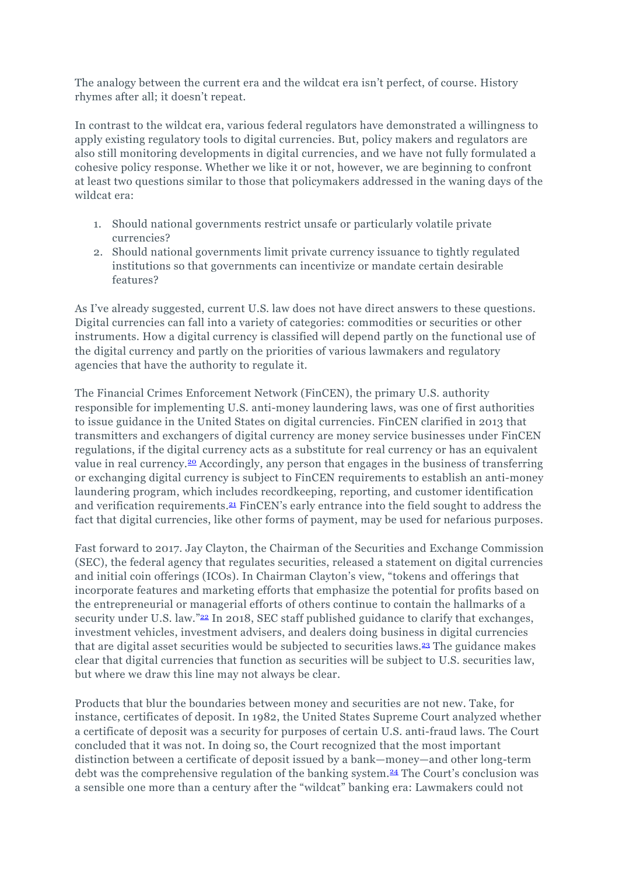The analogy between the current era and the wildcat era isn't perfect, of course. History rhymes after all; it doesn't repeat.

In contrast to the wildcat era, various federal regulators have demonstrated a willingness to apply existing regulatory tools to digital currencies. But, policy makers and regulators are also still monitoring developments in digital currencies, and we have not fully formulated a cohesive policy response. Whether we like it or not, however, we are beginning to confront at least two questions similar to those that policymakers addressed in the waning days of the wildcat era:

- 1. Should national governments restrict unsafe or particularly volatile private currencies?
- 2. Should national governments limit private currency issuance to tightly regulated institutions so that governments can incentivize or mandate certain desirable features?

As I've already suggested, current U.S. law does not have direct answers to these questions. Digital currencies can fall into a variety of categories: commodities or securities or other instruments. How a digital currency is classified will depend partly on the functional use of the digital currency and partly on the priorities of various lawmakers and regulatory agencies that have the authority to regulate it.

The Financial Crimes Enforcement Network (FinCEN), the primary U.S. authority responsible for implementing U.S. anti-money laundering laws, was one of first authorities to issue guidance in the United States on digital currencies. FinCEN clarified in 2013 that transmitters and exchangers of digital currency are money service businesses under FinCEN regulations, if the digital currency acts as a substitute for real currency or has an equivalent value in real currency[.20](https://www.newyorkfed.org/newsevents/speeches/2019/hel191212#footnote20) Accordingly, any person that engages in the business of transferring or exchanging digital currency is subject to FinCEN requirements to establish an anti-money laundering program, which includes recordkeeping, reporting, and customer identification and verification requirements[.21](https://www.newyorkfed.org/newsevents/speeches/2019/hel191212#footnote21) FinCEN's early entrance into the field sought to address the fact that digital currencies, like other forms of payment, may be used for nefarious purposes.

Fast forward to 2017. Jay Clayton, the Chairman of the Securities and Exchange Commission (SEC), the federal agency that regulates securities, released a statement on digital currencies and initial coin offerings (ICOs). In Chairman Clayton's view, "tokens and offerings that incorporate features and marketing efforts that emphasize the potential for profits based on the entrepreneurial or managerial efforts of others continue to contain the hallmarks of a security under U.S. law."<sup>22</sup> In 2018, SEC staff published guidance to clarify that exchanges, investment vehicles, investment advisers, and dealers doing business in digital currencies that are digital asset securities would be subjected to securities laws[.23](https://www.newyorkfed.org/newsevents/speeches/2019/hel191212#footnote23) The guidance makes clear that digital currencies that function as securities will be subject to U.S. securities law, but where we draw this line may not always be clear.

Products that blur the boundaries between money and securities are not new. Take, for instance, certificates of deposit. In 1982, the United States Supreme Court analyzed whether a certificate of deposit was a security for purposes of certain U.S. anti-fraud laws. The Court concluded that it was not. In doing so, the Court recognized that the most important distinction between a certificate of deposit issued by a bank—money—and other long-term debt was the comprehensive regulation of the banking system[.24](https://www.newyorkfed.org/newsevents/speeches/2019/hel191212#footnote24) The Court's conclusion was a sensible one more than a century after the "wildcat" banking era: Lawmakers could not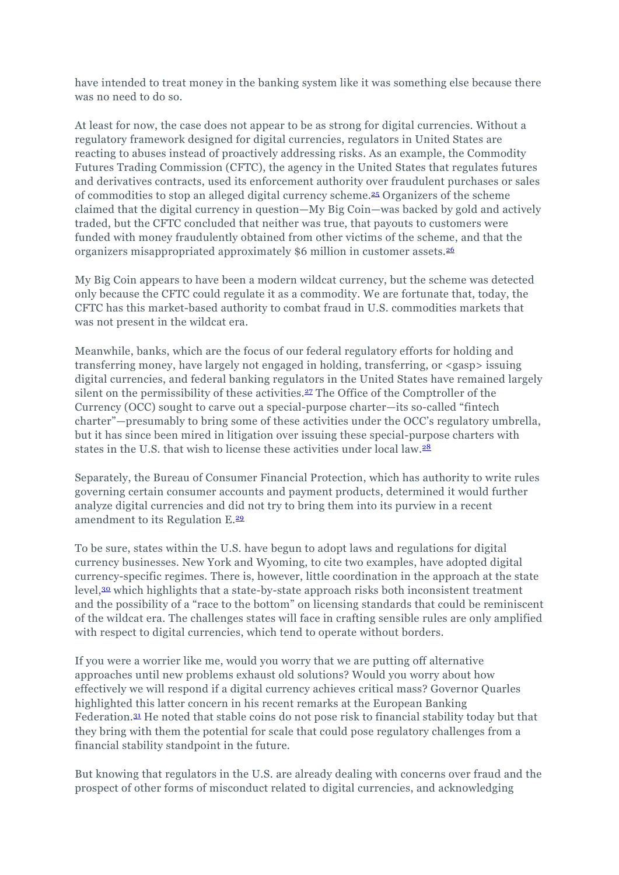have intended to treat money in the banking system like it was something else because there was no need to do so.

At least for now, the case does not appear to be as strong for digital currencies. Without a regulatory framework designed for digital currencies, regulators in United States are reacting to abuses instead of proactively addressing risks. As an example, the Commodity Futures Trading Commission (CFTC), the agency in the United States that regulates futures and derivatives contracts, used its enforcement authority over fraudulent purchases or sales of commodities to stop an alleged digital currency scheme[.25](https://www.newyorkfed.org/newsevents/speeches/2019/hel191212#footnote25) Organizers of the scheme claimed that the digital currency in question—My Big Coin—was backed by gold and actively traded, but the CFTC concluded that neither was true, that payouts to customers were funded with money fraudulently obtained from other victims of the scheme, and that the organizers misappropriated approximately \$6 million in customer assets[.26](https://www.newyorkfed.org/newsevents/speeches/2019/hel191212#footnote26)

My Big Coin appears to have been a modern wildcat currency, but the scheme was detected only because the CFTC could regulate it as a commodity. We are fortunate that, today, the CFTC has this market-based authority to combat fraud in U.S. commodities markets that was not present in the wildcat era.

Meanwhile, banks, which are the focus of our federal regulatory efforts for holding and transferring money, have largely not engaged in holding, transferring, or <gasp> issuing digital currencies, and federal banking regulators in the United States have remained largely silent on the permissibility of these activities[.27](https://www.newyorkfed.org/newsevents/speeches/2019/hel191212#footnote27) The Office of the Comptroller of the Currency (OCC) sought to carve out a special-purpose charter—its so-called "fintech charter"—presumably to bring some of these activities under the OCC's regulatory umbrella, but it has since been mired in litigation over issuing these special-purpose charters with states in the U.S. that wish to license these activities under local law.<sup>28</sup>

Separately, the Bureau of Consumer Financial Protection, which has authority to write rules governing certain consumer accounts and payment products, determined it would further analyze digital currencies and did not try to bring them into its purview in a recent amendment to its Regulation E[.29](https://www.newyorkfed.org/newsevents/speeches/2019/hel191212#footnote29)

To be sure, states within the U.S. have begun to adopt laws and regulations for digital currency businesses. New York and Wyoming, to cite two examples, have adopted digital currency-specific regimes. There is, however, little coordination in the approach at the state level[,30](https://www.newyorkfed.org/newsevents/speeches/2019/hel191212#footnote30) which highlights that a state-by-state approach risks both inconsistent treatment and the possibility of a "race to the bottom" on licensing standards that could be reminiscent of the wildcat era. The challenges states will face in crafting sensible rules are only amplified with respect to digital currencies, which tend to operate without borders.

If you were a worrier like me, would you worry that we are putting off alternative approaches until new problems exhaust old solutions? Would you worry about how effectively we will respond if a digital currency achieves critical mass? Governor Quarles highlighted this latter concern in his recent remarks at the European Banking Federation[.31](https://www.newyorkfed.org/newsevents/speeches/2019/hel191212#footnote31) He noted that stable coins do not pose risk to financial stability today but that they bring with them the potential for scale that could pose regulatory challenges from a financial stability standpoint in the future.

But knowing that regulators in the U.S. are already dealing with concerns over fraud and the prospect of other forms of misconduct related to digital currencies, and acknowledging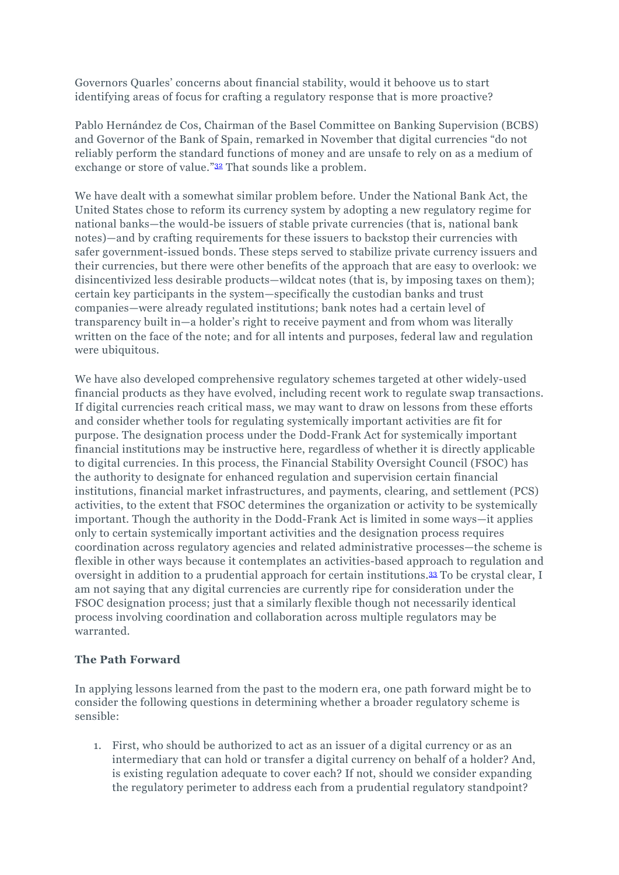Governors Quarles' concerns about financial stability, would it behoove us to start identifying areas of focus for crafting a regulatory response that is more proactive?

Pablo Hernández de Cos, Chairman of the Basel Committee on Banking Supervision (BCBS) and Governor of the Bank of Spain, remarked in November that digital currencies "do not reliably perform the standard functions of money and are unsafe to rely on as a medium of exchange or store of value.["32](https://www.newyorkfed.org/newsevents/speeches/2019/hel191212#footnote32) That sounds like a problem.

We have dealt with a somewhat similar problem before. Under the National Bank Act, the United States chose to reform its currency system by adopting a new regulatory regime for national banks—the would-be issuers of stable private currencies (that is, national bank notes)—and by crafting requirements for these issuers to backstop their currencies with safer government-issued bonds. These steps served to stabilize private currency issuers and their currencies, but there were other benefits of the approach that are easy to overlook: we disincentivized less desirable products—wildcat notes (that is, by imposing taxes on them); certain key participants in the system—specifically the custodian banks and trust companies—were already regulated institutions; bank notes had a certain level of transparency built in—a holder's right to receive payment and from whom was literally written on the face of the note; and for all intents and purposes, federal law and regulation were ubiquitous.

We have also developed comprehensive regulatory schemes targeted at other widely-used financial products as they have evolved, including recent work to regulate swap transactions. If digital currencies reach critical mass, we may want to draw on lessons from these efforts and consider whether tools for regulating systemically important activities are fit for purpose. The designation process under the Dodd-Frank Act for systemically important financial institutions may be instructive here, regardless of whether it is directly applicable to digital currencies. In this process, the Financial Stability Oversight Council (FSOC) has the authority to designate for enhanced regulation and supervision certain financial institutions, financial market infrastructures, and payments, clearing, and settlement (PCS) activities, to the extent that FSOC determines the organization or activity to be systemically important. Though the authority in the Dodd-Frank Act is limited in some ways—it applies only to certain systemically important activities and the designation process requires coordination across regulatory agencies and related administrative processes—the scheme is flexible in other ways because it contemplates an activities-based approach to regulation and oversight in addition to a prudential approach for certain institutions[.33](https://www.newyorkfed.org/newsevents/speeches/2019/hel191212#footnote33) To be crystal clear, I am not saying that any digital currencies are currently ripe for consideration under the FSOC designation process; just that a similarly flexible though not necessarily identical process involving coordination and collaboration across multiple regulators may be warranted.

### **The Path Forward**

In applying lessons learned from the past to the modern era, one path forward might be to consider the following questions in determining whether a broader regulatory scheme is sensible:

1. First, who should be authorized to act as an issuer of a digital currency or as an intermediary that can hold or transfer a digital currency on behalf of a holder? And, is existing regulation adequate to cover each? If not, should we consider expanding the regulatory perimeter to address each from a prudential regulatory standpoint?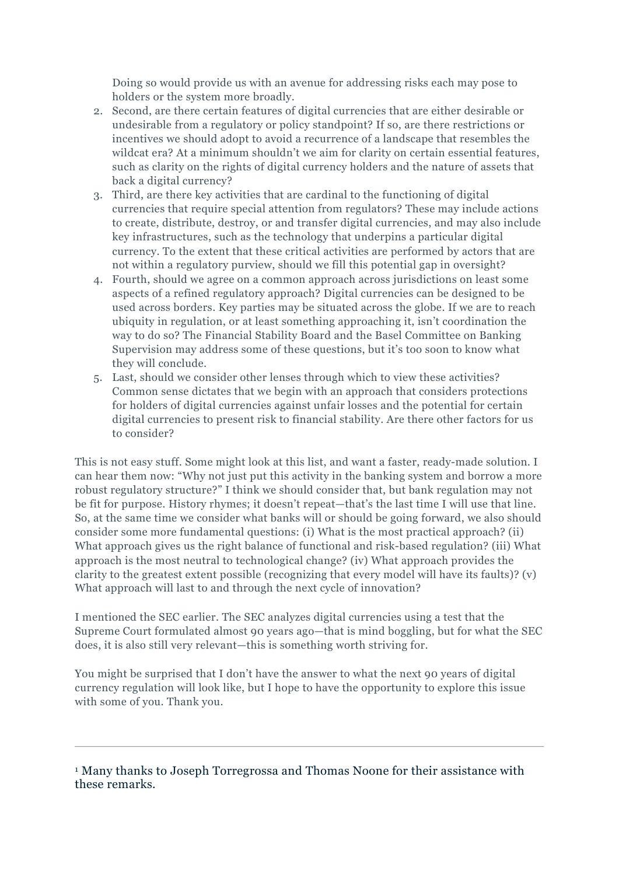Doing so would provide us with an avenue for addressing risks each may pose to holders or the system more broadly.

- 2. Second, are there certain features of digital currencies that are either desirable or undesirable from a regulatory or policy standpoint? If so, are there restrictions or incentives we should adopt to avoid a recurrence of a landscape that resembles the wildcat era? At a minimum shouldn't we aim for clarity on certain essential features, such as clarity on the rights of digital currency holders and the nature of assets that back a digital currency?
- 3. Third, are there key activities that are cardinal to the functioning of digital currencies that require special attention from regulators? These may include actions to create, distribute, destroy, or and transfer digital currencies, and may also include key infrastructures, such as the technology that underpins a particular digital currency. To the extent that these critical activities are performed by actors that are not within a regulatory purview, should we fill this potential gap in oversight?
- 4. Fourth, should we agree on a common approach across jurisdictions on least some aspects of a refined regulatory approach? Digital currencies can be designed to be used across borders. Key parties may be situated across the globe. If we are to reach ubiquity in regulation, or at least something approaching it, isn't coordination the way to do so? The Financial Stability Board and the Basel Committee on Banking Supervision may address some of these questions, but it's too soon to know what they will conclude.
- 5. Last, should we consider other lenses through which to view these activities? Common sense dictates that we begin with an approach that considers protections for holders of digital currencies against unfair losses and the potential for certain digital currencies to present risk to financial stability. Are there other factors for us to consider?

This is not easy stuff. Some might look at this list, and want a faster, ready-made solution. I can hear them now: "Why not just put this activity in the banking system and borrow a more robust regulatory structure?" I think we should consider that, but bank regulation may not be fit for purpose. History rhymes; it doesn't repeat—that's the last time I will use that line. So, at the same time we consider what banks will or should be going forward, we also should consider some more fundamental questions: (i) What is the most practical approach? (ii) What approach gives us the right balance of functional and risk-based regulation? (iii) What approach is the most neutral to technological change? (iv) What approach provides the clarity to the greatest extent possible (recognizing that every model will have its faults)? (v) What approach will last to and through the next cycle of innovation?

I mentioned the SEC earlier. The SEC analyzes digital currencies using a test that the Supreme Court formulated almost 90 years ago—that is mind boggling, but for what the SEC does, it is also still very relevant—this is something worth striving for.

You might be surprised that I don't have the answer to what the next 90 years of digital currency regulation will look like, but I hope to have the opportunity to explore this issue with some of you. Thank you.

<sup>1</sup> Many thanks to Joseph Torregrossa and Thomas Noone for their assistance with these remarks.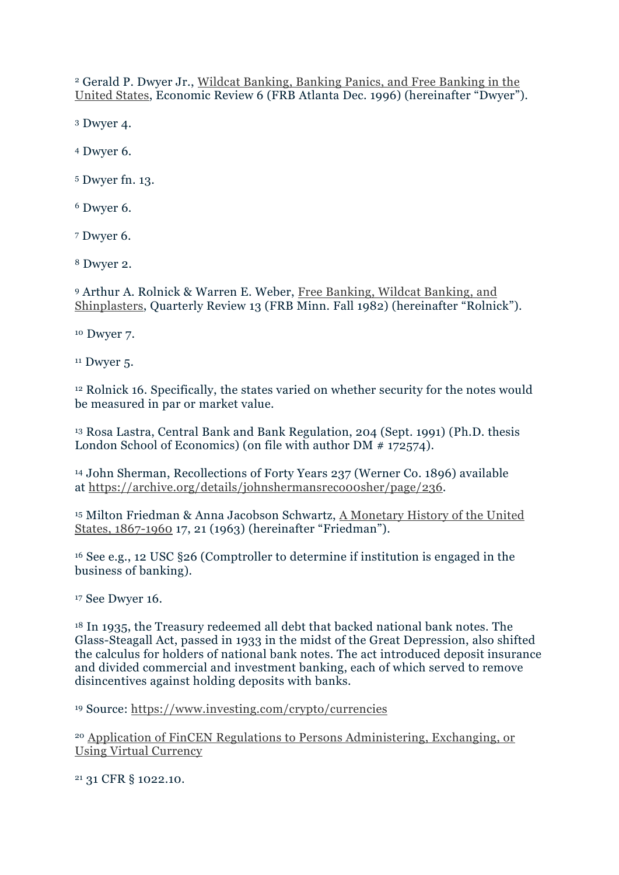<sup>2</sup> Gerald P. Dwyer Jr., [Wildcat Banking, Banking Panics, and Free Banking in the](https://www.frbatlanta.org/-/media/documents/research/publications/economic-review/1996/vol81nos3-6_dwyer.pdf)  [United States,](https://www.frbatlanta.org/-/media/documents/research/publications/economic-review/1996/vol81nos3-6_dwyer.pdf) Economic Review 6 (FRB Atlanta Dec. 1996) (hereinafter "Dwyer").

<sup>3</sup> Dwyer 4.

<sup>4</sup> Dwyer 6.

<sup>5</sup> Dwyer fn. 13.

<sup>6</sup> Dwyer 6.

<sup>7</sup> Dwyer 6.

<sup>8</sup> Dwyer 2.

<sup>9</sup> Arthur A. Rolnick & Warren E. Weber, [Free Banking, Wildcat Banking, and](https://www.minneapolisfed.org/research/qr/qr632.pdf)  [Shinplasters,](https://www.minneapolisfed.org/research/qr/qr632.pdf) Quarterly Review 13 (FRB Minn. Fall 1982) (hereinafter "Rolnick").

<sup>10</sup> Dwyer 7.

 $11$  Dwyer 5.

<sup>12</sup> Rolnick 16. Specifically, the states varied on whether security for the notes would be measured in par or market value.

<sup>13</sup> Rosa Lastra, Central Bank and Bank Regulation, 204 (Sept. 1991) (Ph.D. thesis London School of Economics) (on file with author DM  $# 172574$ ).

<sup>14</sup> John Sherman, Recollections of Forty Years 237 (Werner Co. 1896) available at [https://archive.org/details/johnshermansreco00sher/page/236.](https://archive.org/details/johnshermansreco00sher/page/236)

<sup>15</sup> Milton Friedman & Anna Jacobson Schwartz, [A Monetary History of the United](https://books.google.com/books?id=Q7J_EUM3RfoC&pg=PA15&source=gbs_toc_r&cad=3#v=onepage&q&f=false)  [States, 1867-1960](https://books.google.com/books?id=Q7J_EUM3RfoC&pg=PA15&source=gbs_toc_r&cad=3#v=onepage&q&f=false) 17, 21 (1963) (hereinafter "Friedman").

<sup>16</sup> See e.g., 12 USC §26 (Comptroller to determine if institution is engaged in the business of banking).

<sup>17</sup> See Dwyer 16.

<sup>18</sup> In 1935, the Treasury redeemed all debt that backed national bank notes. The Glass-Steagall Act, passed in 1933 in the midst of the Great Depression, also shifted the calculus for holders of national bank notes. The act introduced deposit insurance and divided commercial and investment banking, each of which served to remove disincentives against holding deposits with banks.

<sup>19</sup> Source: <https://www.investing.com/crypto/currencies>

<sup>20</sup> [Application of FinCEN Regulations to Persons Administering, Exchanging, or](https://www.fincen.gov/sites/default/files/shared/FIN-2013-G001.pdf)  [Using Virtual Currency](https://www.fincen.gov/sites/default/files/shared/FIN-2013-G001.pdf)

<sup>21</sup> 31 CFR § 1022.10.